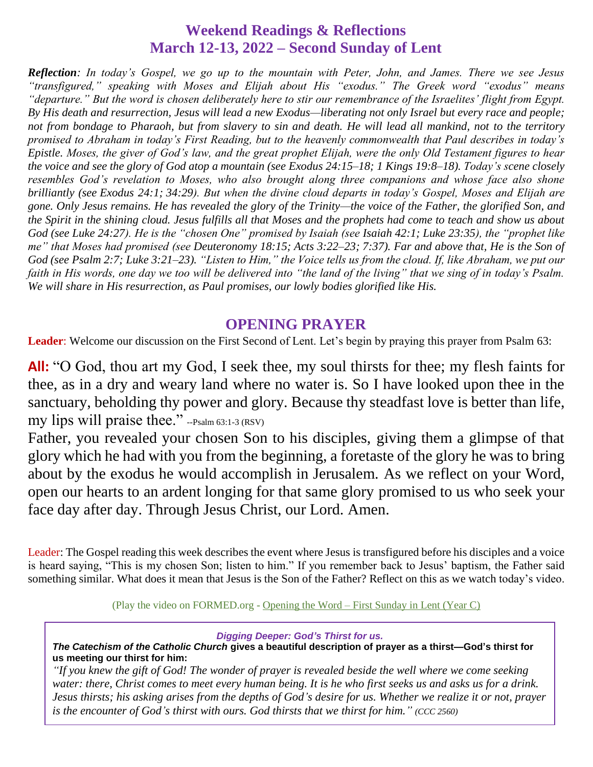## **Weekend Readings & Reflections March 12-13, 2022 – Second Sunday of Lent**

*Reflection: In today's Gospel, we go up to the mountain with Peter, John, and James. There we see Jesus "transfigured," speaking with Moses and Elijah about His "exodus." The Greek word "exodus" means "departure." But the word is chosen deliberately here to stir our remembrance of the Israelites' flight from Egypt. By His death and resurrection, Jesus will lead a new Exodus—liberating not only Israel but every race and people; not from bondage to Pharaoh, but from slavery to sin and death. He will lead all mankind, not to the territory promised to Abraham in today's First Reading, but to the heavenly commonwealth that Paul describes in today's Epistle. Moses, the giver of God's law, and the great prophet Elijah, were the only Old Testament figures to hear the voice and see the glory of God atop a mountain (see [Exodus 24:15–18;](https://biblia.com/bible/rsvce/Exod%2024.15%E2%80%9318) [1 Kings 19:8–18\)](https://biblia.com/bible/rsvce/1%20Kings%2019.8%E2%80%9318). Today's scene closely resembles God's revelation to Moses, who also brought along three companions and whose face also shone brilliantly (see [Exodus 24:1;](https://biblia.com/bible/rsvce/Exod%2024.1) [34:29\)](https://biblia.com/bible/rsvce/Exodus%2034.29). But when the divine cloud departs in today's Gospel, Moses and Elijah are gone. Only Jesus remains. He has revealed the glory of the Trinity—the voice of the Father, the glorified Son, and the Spirit in the shining cloud. Jesus fulfills all that Moses and the prophets had come to teach and show us about God (see [Luke 24:27\)](https://biblia.com/bible/rsvce/Luke%2024.27). He is the "chosen One" promised by Isaiah (see [Isaiah 42:1;](https://biblia.com/bible/rsvce/Isa%2042.1) [Luke 23:35\)](https://biblia.com/bible/rsvce/Luke%2023.35), the "prophet like me" that Moses had promised (see [Deuteronomy 18:15;](https://biblia.com/bible/rsvce/Deut%2018.15) [Acts 3:22–23;](https://biblia.com/bible/rsvce/Acts%203.22%E2%80%9323) [7:37\)](https://biblia.com/bible/rsvce/Acts%207.37). Far and above that, He is the Son of God (see [Psalm 2:7;](https://biblia.com/bible/rsvce/Ps%202.7) [Luke 3:21–23\)](https://biblia.com/bible/rsvce/Luke%203.21%E2%80%9323). "Listen to Him," the Voice tells us from the cloud. If, like Abraham, we put our faith in His words, one day we too will be delivered into "the land of the living" that we sing of in today's Psalm. We will share in His resurrection, as Paul promises, our lowly bodies glorified like His.*

## **OPENING PRAYER**

Leader: Welcome our discussion on the First Second of Lent. Let's begin by praying this prayer from Psalm 63:

**All:** "O God, thou art my God, I seek thee, my soul thirsts for thee; my flesh faints for thee, as in a dry and weary land where no water is. So I have looked upon thee in the sanctuary, beholding thy power and glory. Because thy steadfast love is better than life, my lips will praise thee." --Psalm 63:1-3 (RSV)

Father, you revealed your chosen Son to his disciples, giving them a glimpse of that glory which he had with you from the beginning, a foretaste of the glory he was to bring about by the exodus he would accomplish in Jerusalem. As we reflect on your Word, open our hearts to an ardent longing for that same glory promised to us who seek your face day after day. Through Jesus Christ, our Lord. Amen.

Leader: The Gospel reading this week describes the event where Jesus is transfigured before his disciples and a voice is heard saying, "This is my chosen Son; listen to him." If you remember back to Jesus' baptism, the Father said something similar. What does it mean that Jesus is the Son of the Father? Reflect on this as we watch today's video.

(Play the video on FORMED.org - [Opening the Word –](https://watch.formed.org/opening-the-word-1/season:3/videos/1st-sunday-of-lent-year-c) First Sunday in Lent (Year C)

#### *Digging Deeper: God's Thirst for us.*

*The Catechism of the Catholic Church* **gives a beautiful description of prayer as a thirst—God's thirst for us meeting our thirst for him:**

*"If you knew the gift of God! The wonder of prayer is revealed beside the well where we come seeking water: there, Christ comes to meet every human being. It is he who first seeks us and asks us for a drink. Jesus thirsts; his asking arises from the depths of God's desire for us. Whether we realize it or not, prayer is the encounter of God's thirst with ours. God thirsts that we thirst for him." (CCC 2560)*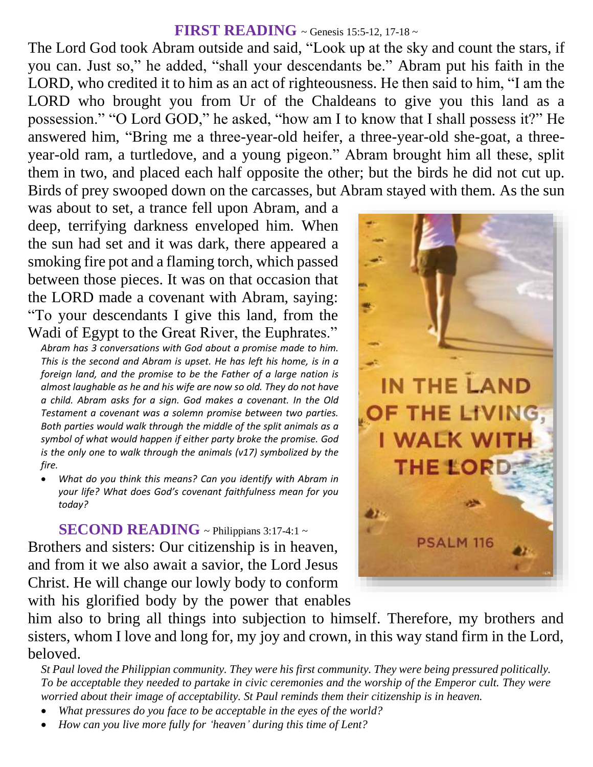#### **FIRST READING** ~ Genesis 15:5-12, 17-18 ~

The Lord God took Abram outside and said, "Look up at the sky and count the stars, if you can. Just so," he added, "shall your descendants be." Abram put his faith in the LORD, who credited it to him as an act of righteousness. He then said to him, "I am the LORD who brought you from Ur of the Chaldeans to give you this land as a possession." "O Lord GOD," he asked, "how am I to know that I shall possess it?" He answered him, "Bring me a three-year-old heifer, a three-year-old she-goat, a threeyear-old ram, a turtledove, and a young pigeon." Abram brought him all these, split them in two, and placed each half opposite the other; but the birds he did not cut up. Birds of prey swooped down on the carcasses, but Abram stayed with them. As the sun

was about to set, a trance fell upon Abram, and a deep, terrifying darkness enveloped him. When the sun had set and it was dark, there appeared a smoking fire pot and a flaming torch, which passed between those pieces. It was on that occasion that the LORD made a covenant with Abram, saying: "To your descendants I give this land, from the Wadi of Egypt to the Great River, the Euphrates."

*Abram has 3 conversations with God about a promise made to him. This is the second and Abram is upset. He has left his home, is in a foreign land, and the promise to be the Father of a large nation is almost laughable as he and his wife are now so old. They do not have a child. Abram asks for a sign. God makes a covenant. In the Old Testament a covenant was a solemn promise between two parties. Both parties would walk through the middle of the split animals as a symbol of what would happen if either party broke the promise. God is the only one to walk through the animals (v17) symbolized by the fire.* 

 *What do you think this means? Can you identify with Abram in your life? What does God's covenant faithfulness mean for you today?*

**SECOND READING** ~ Philippians 3:17-4:1 ~

Brothers and sisters: Our citizenship is in heaven, and from it we also await a savior, the Lord Jesus Christ. He will change our lowly body to conform with his glorified body by the power that enables



him also to bring all things into subjection to himself. Therefore, my brothers and sisters, whom I love and long for, my joy and crown, in this way stand firm in the Lord, beloved.

*St Paul loved the Philippian community. They were his first community. They were being pressured politically. To be acceptable they needed to partake in civic ceremonies and the worship of the Emperor cult. They were worried about their image of acceptability. St Paul reminds them their citizenship is in heaven.* 

- *What pressures do you face to be acceptable in the eyes of the world?*
- *How can you live more fully for 'heaven' during this time of Lent?*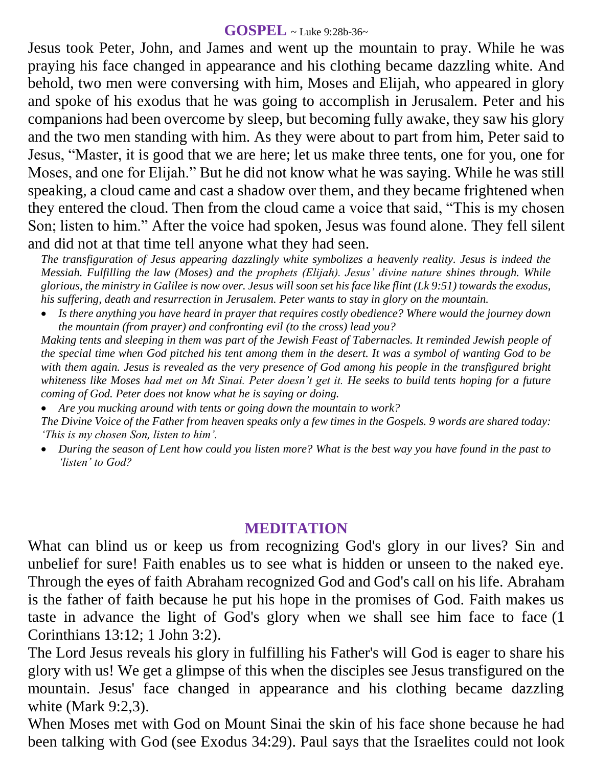### **GOSPEL** ~ Luke 9:28b-36~

Jesus took Peter, John, and James and went up the mountain to pray. While he was praying his face changed in appearance and his clothing became dazzling white. And behold, two men were conversing with him, Moses and Elijah, who appeared in glory and spoke of his exodus that he was going to accomplish in Jerusalem. Peter and his companions had been overcome by sleep, but becoming fully awake, they saw his glory and the two men standing with him. As they were about to part from him, Peter said to Jesus, "Master, it is good that we are here; let us make three tents, one for you, one for Moses, and one for Elijah." But he did not know what he was saying. While he was still speaking, a cloud came and cast a shadow over them, and they became frightened when they entered the cloud. Then from the cloud came a voice that said, "This is my chosen Son; listen to him." After the voice had spoken, Jesus was found alone. They fell silent and did not at that time tell anyone what they had seen.

*The transfiguration of Jesus appearing dazzlingly white symbolizes a heavenly reality. Jesus is indeed the Messiah. Fulfilling the law (Moses) and the prophets (Elijah). Jesus' divine nature shines through. While glorious, the ministry in Galilee is now over. Jesus will soon set his face like flint (Lk 9:51) towards the exodus, his suffering, death and resurrection in Jerusalem. Peter wants to stay in glory on the mountain.*

 *Is there anything you have heard in prayer that requires costly obedience? Where would the journey down the mountain (from prayer) and confronting evil (to the cross) lead you?*

*Making tents and sleeping in them was part of the Jewish Feast of Tabernacles. It reminded Jewish people of the special time when God pitched his tent among them in the desert. It was a symbol of wanting God to be with them again. Jesus is revealed as the very presence of God among his people in the transfigured bright whiteness like Moses had met on Mt Sinai. Peter doesn't get it. He seeks to build tents hoping for a future coming of God. Peter does not know what he is saying or doing.* 

 *Are you mucking around with tents or going down the mountain to work? The Divine Voice of the Father from heaven speaks only a few times in the Gospels. 9 words are shared today: 'This is my chosen Son, listen to him'.*

 *During the season of Lent how could you listen more? What is the best way you have found in the past to 'listen' to God?*

## **MEDITATION**

What can blind us or keep us from recognizing God's glory in our lives? Sin and unbelief for sure! Faith enables us to see what is hidden or unseen to the naked eye. Through the eyes of faith Abraham recognized God and God's call on his life. Abraham is the father of faith because he put his hope in the promises of God. Faith makes us taste in advance the light of God's glory when we shall see him face to face (1 Corinthians 13:12; 1 John 3:2).

The Lord Jesus reveals his glory in fulfilling his Father's will God is eager to share his glory with us! We get a glimpse of this when the disciples see Jesus transfigured on the mountain. Jesus' face changed in appearance and his clothing became dazzling white (Mark 9:2,3).

When Moses met with God on Mount Sinai the skin of his face shone because he had been talking with God (see Exodus 34:29). Paul says that the Israelites could not look